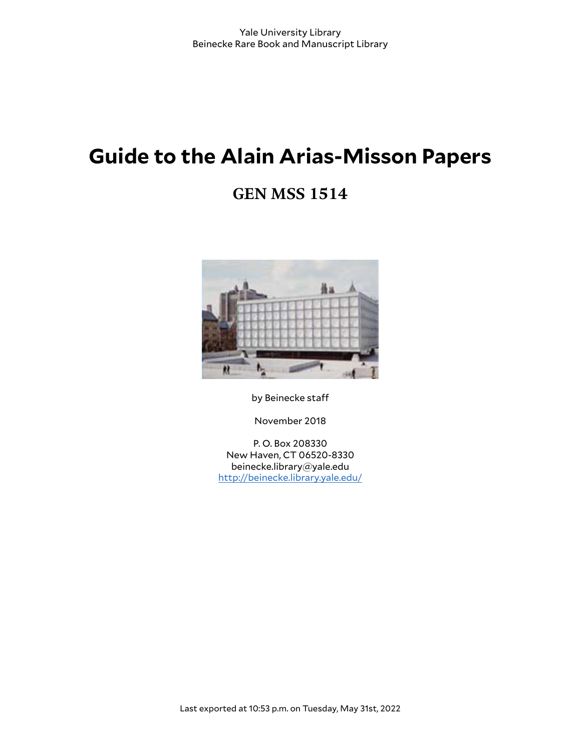# **Guide to the Alain Arias-Misson Papers**

# **GEN MSS 1514**



by Beinecke staff

November 2018

P. O. Box 208330 New Haven, CT 06520-8330 beinecke.library@yale.edu <http://beinecke.library.yale.edu/>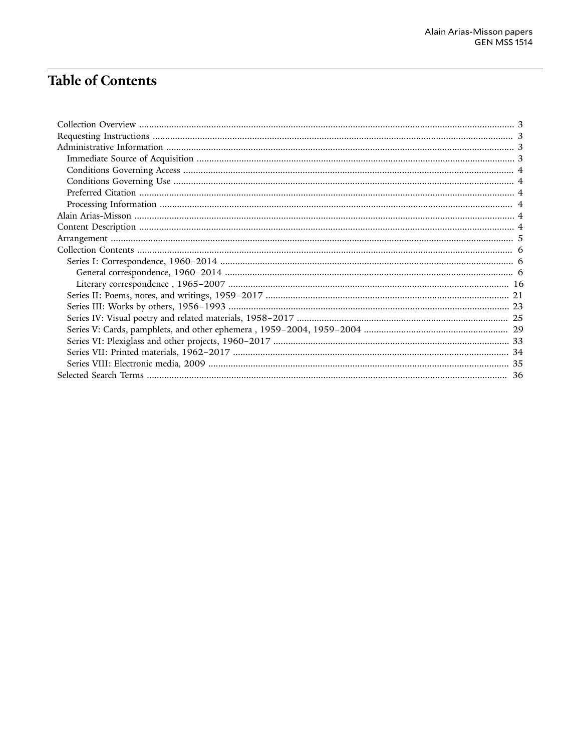# **Table of Contents**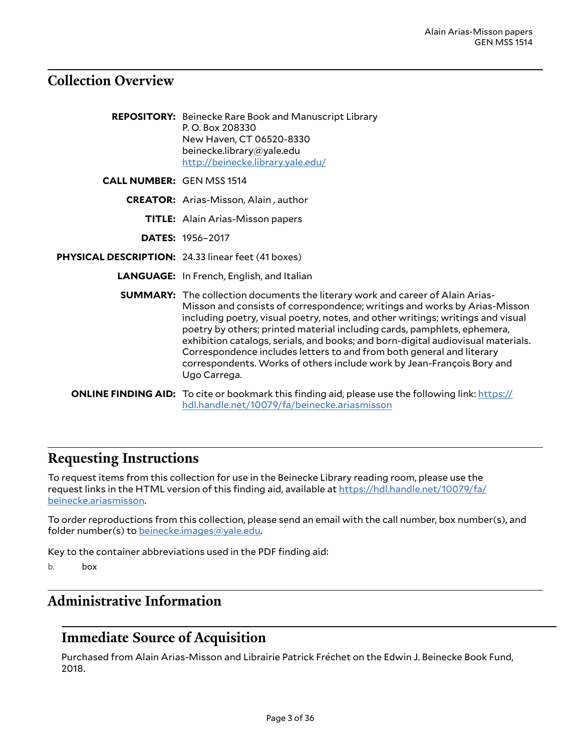# <span id="page-2-0"></span>**Collection Overview**

|                                  | <b>REPOSITORY:</b> Beinecke Rare Book and Manuscript Library<br>P.O. Box 208330<br>New Haven, CT 06520-8330<br>beinecke.library@yale.edu<br>http://beinecke.library.yale.edu/                                                                                                                                                                                                                                                                                                                                                                                                            |
|----------------------------------|------------------------------------------------------------------------------------------------------------------------------------------------------------------------------------------------------------------------------------------------------------------------------------------------------------------------------------------------------------------------------------------------------------------------------------------------------------------------------------------------------------------------------------------------------------------------------------------|
| <b>CALL NUMBER: GEN MSS 1514</b> |                                                                                                                                                                                                                                                                                                                                                                                                                                                                                                                                                                                          |
|                                  | <b>CREATOR:</b> Arias-Misson, Alain, author                                                                                                                                                                                                                                                                                                                                                                                                                                                                                                                                              |
|                                  | <b>TITLE:</b> Alain Arias-Misson papers                                                                                                                                                                                                                                                                                                                                                                                                                                                                                                                                                  |
|                                  | <b>DATES: 1956-2017</b>                                                                                                                                                                                                                                                                                                                                                                                                                                                                                                                                                                  |
|                                  | PHYSICAL DESCRIPTION: 24.33 linear feet (41 boxes)                                                                                                                                                                                                                                                                                                                                                                                                                                                                                                                                       |
|                                  | <b>LANGUAGE:</b> In French, English, and Italian                                                                                                                                                                                                                                                                                                                                                                                                                                                                                                                                         |
|                                  | <b>SUMMARY:</b> The collection documents the literary work and career of Alain Arias-<br>Misson and consists of correspondence; writings and works by Arias-Misson<br>including poetry, visual poetry, notes, and other writings; writings and visual<br>poetry by others; printed material including cards, pamphlets, ephemera,<br>exhibition catalogs, serials, and books; and born-digital audiovisual materials.<br>Correspondence includes letters to and from both general and literary<br>correspondents. Works of others include work by Jean-François Bory and<br>Ugo Carrega. |
|                                  | <b>ONLINE FINDING AID:</b> To cite or bookmark this finding aid, please use the following link: https://<br>hdl.handle.net/10079/fa/beinecke.ariasmisson                                                                                                                                                                                                                                                                                                                                                                                                                                 |

## <span id="page-2-1"></span>**Requesting Instructions**

To request items from this collection for use in the Beinecke Library reading room, please use the request links in the HTML version of this finding aid, available at [https://hdl.handle.net/10079/fa/](https://hdl.handle.net/10079/fa/beinecke.ariasmisson) [beinecke.ariasmisson](https://hdl.handle.net/10079/fa/beinecke.ariasmisson).

To order reproductions from this collection, please send an email with the call number, box number(s), and folder number(s) to [beinecke.images@yale.edu.](mailto:beinecke.images@yale.edu)

Key to the container abbreviations used in the PDF finding aid:

b. box

# <span id="page-2-2"></span>**Administrative Information**

### <span id="page-2-3"></span>**Immediate Source of Acquisition**

Purchased from Alain Arias-Misson and Librairie Patrick Fréchet on the Edwin J. Beinecke Book Fund, 2018.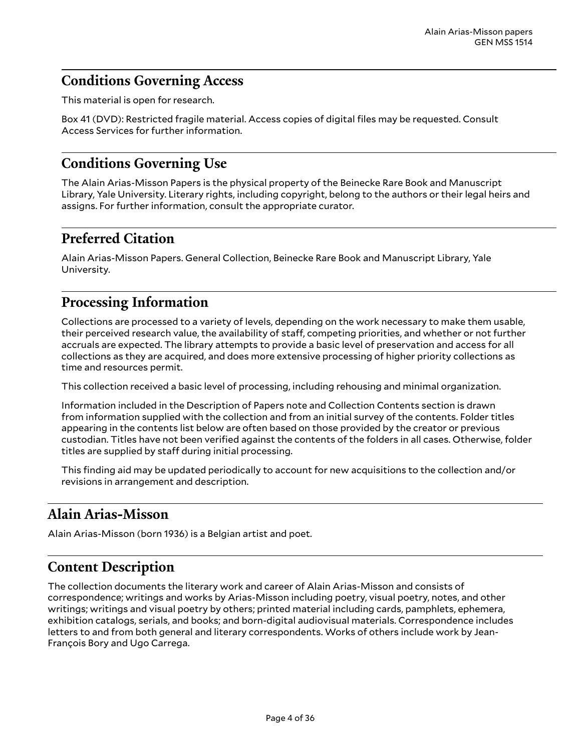# <span id="page-3-0"></span>**Conditions Governing Access**

This material is open for research.

Box 41 (DVD): Restricted fragile material. Access copies of digital files may be requested. Consult Access Services for further information.

# <span id="page-3-1"></span>**Conditions Governing Use**

The Alain Arias-Misson Papers is the physical property of the Beinecke Rare Book and Manuscript Library, Yale University. Literary rights, including copyright, belong to the authors or their legal heirs and assigns. For further information, consult the appropriate curator.

## <span id="page-3-2"></span>**Preferred Citation**

Alain Arias-Misson Papers. General Collection, Beinecke Rare Book and Manuscript Library, Yale University.

# <span id="page-3-3"></span>**Processing Information**

Collections are processed to a variety of levels, depending on the work necessary to make them usable, their perceived research value, the availability of staff, competing priorities, and whether or not further accruals are expected. The library attempts to provide a basic level of preservation and access for all collections as they are acquired, and does more extensive processing of higher priority collections as time and resources permit.

This collection received a basic level of processing, including rehousing and minimal organization.

Information included in the Description of Papers note and Collection Contents section is drawn from information supplied with the collection and from an initial survey of the contents. Folder titles appearing in the contents list below are often based on those provided by the creator or previous custodian. Titles have not been verified against the contents of the folders in all cases. Otherwise, folder titles are supplied by staff during initial processing.

This finding aid may be updated periodically to account for new acquisitions to the collection and/or revisions in arrangement and description.

# <span id="page-3-4"></span>**Alain Arias-Misson**

Alain Arias-Misson (born 1936) is a Belgian artist and poet.

# <span id="page-3-5"></span>**Content Description**

The collection documents the literary work and career of Alain Arias-Misson and consists of correspondence; writings and works by Arias-Misson including poetry, visual poetry, notes, and other writings; writings and visual poetry by others; printed material including cards, pamphlets, ephemera, exhibition catalogs, serials, and books; and born-digital audiovisual materials. Correspondence includes letters to and from both general and literary correspondents. Works of others include work by Jean-François Bory and Ugo Carrega.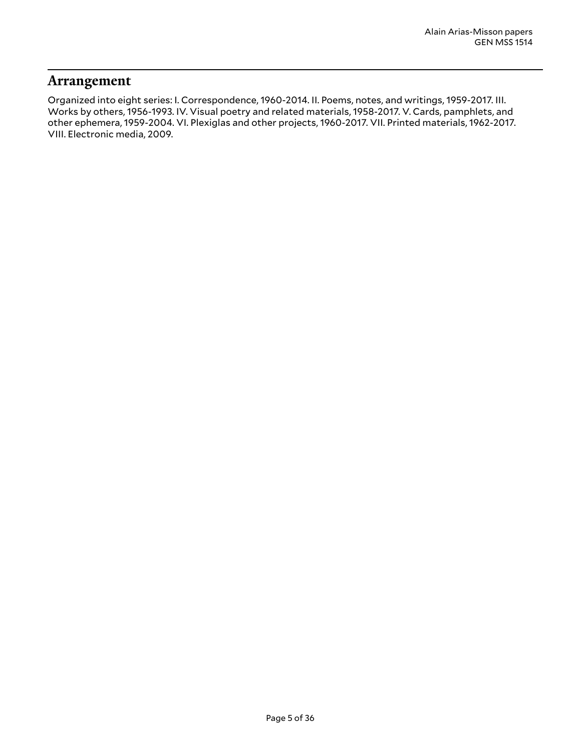### <span id="page-4-0"></span>**Arrangement**

Organized into eight series: I. Correspondence, 1960-2014. II. Poems, notes, and writings, 1959-2017. III. Works by others, 1956-1993. IV. Visual poetry and related materials, 1958-2017. V. Cards, pamphlets, and other ephemera, 1959-2004. VI. Plexiglas and other projects, 1960-2017. VII. Printed materials, 1962-2017. VIII. Electronic media, 2009.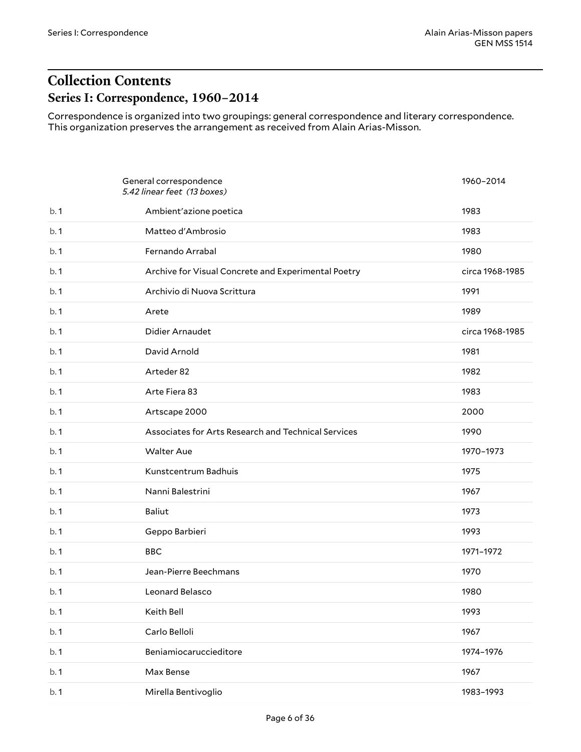# <span id="page-5-1"></span><span id="page-5-0"></span>**Collection Contents Series I: Correspondence, 1960–2014**

Correspondence is organized into two groupings: general correspondence and literary correspondence. This organization preserves the arrangement as received from Alain Arias-Misson.

<span id="page-5-2"></span>

|     | General correspondence<br>5.42 linear feet (13 boxes) | 1960-2014       |
|-----|-------------------------------------------------------|-----------------|
| b.1 | Ambient'azione poetica                                | 1983            |
| b.1 | Matteo d'Ambrosio                                     | 1983            |
| b.1 | Fernando Arrabal                                      | 1980            |
| b.1 | Archive for Visual Concrete and Experimental Poetry   | circa 1968-1985 |
| b.1 | Archivio di Nuova Scrittura                           | 1991            |
| b.1 | Arete                                                 | 1989            |
| b.1 | Didier Arnaudet                                       | circa 1968-1985 |
| b.1 | David Arnold                                          | 1981            |
| b.1 | Arteder 82                                            | 1982            |
| b.1 | Arte Fiera 83                                         | 1983            |
| b.1 | Artscape 2000                                         | 2000            |
| b.1 | Associates for Arts Research and Technical Services   | 1990            |
| b.1 | <b>Walter Aue</b>                                     | 1970-1973       |
| b.1 | Kunstcentrum Badhuis                                  | 1975            |
| b.1 | Nanni Balestrini                                      | 1967            |
| b.1 | Baliut                                                | 1973            |
| b.1 | Geppo Barbieri                                        | 1993            |
| b.1 | <b>BBC</b>                                            | 1971-1972       |
| b.1 | Jean-Pierre Beechmans                                 | 1970            |
| b.1 | Leonard Belasco                                       | 1980            |
| b.1 | Keith Bell                                            | 1993            |
| b.1 | Carlo Belloli                                         | 1967            |
| b.1 | Beniamiocaruccieditore                                | 1974-1976       |
| b.1 | Max Bense                                             | 1967            |
| b.1 | Mirella Bentivoglio                                   | 1983-1993       |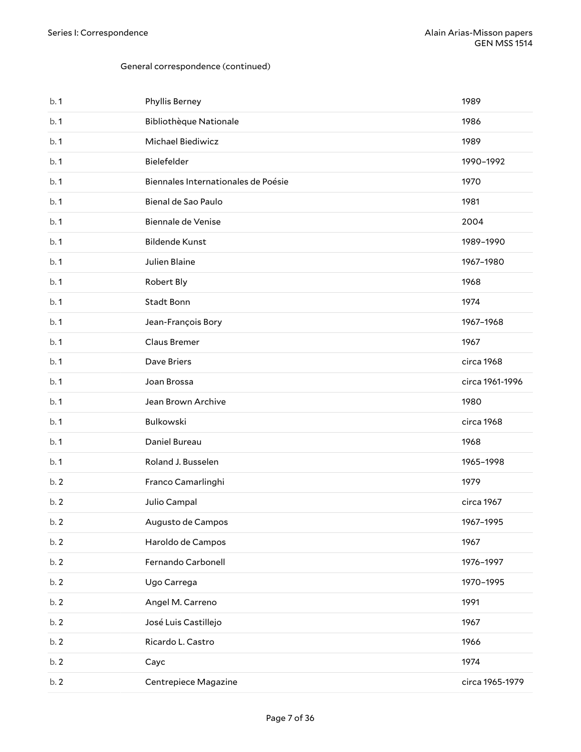| b.1 | Phyllis Berney                      | 1989            |
|-----|-------------------------------------|-----------------|
| b.1 | <b>Bibliothèque Nationale</b>       | 1986            |
| b.1 | Michael Biediwicz                   | 1989            |
| b.1 | Bielefelder                         | 1990-1992       |
| b.1 | Biennales Internationales de Poésie | 1970            |
| b.1 | Bienal de Sao Paulo                 | 1981            |
| b.1 | Biennale de Venise                  | 2004            |
| b.1 | <b>Bildende Kunst</b>               | 1989-1990       |
| b.1 | Julien Blaine                       | 1967-1980       |
| b.1 | Robert Bly                          | 1968            |
| b.1 | <b>Stadt Bonn</b>                   | 1974            |
| b.1 | Jean-François Bory                  | 1967-1968       |
| b.1 | Claus Bremer                        | 1967            |
| b.1 | Dave Briers                         | circa 1968      |
| b.1 | Joan Brossa                         | circa 1961-1996 |
|     |                                     |                 |
| b.1 | Jean Brown Archive                  | 1980            |
| b.1 | Bulkowski                           | circa 1968      |
| b.1 | Daniel Bureau                       | 1968            |
| b.1 | Roland J. Busselen                  | 1965-1998       |
| b.2 | Franco Camarlinghi                  | 1979            |
| b.2 | Julio Campal                        | circa 1967      |
| b.2 | Augusto de Campos                   | 1967-1995       |
| b.2 | Haroldo de Campos                   | 1967            |
| b.2 | Fernando Carbonell                  | 1976-1997       |
| b.2 | Ugo Carrega                         | 1970-1995       |
| b.2 | Angel M. Carreno                    | 1991            |
| b.2 | José Luis Castillejo                | 1967            |
| b.2 | Ricardo L. Castro                   | 1966            |
| b.2 | Cayc                                | 1974            |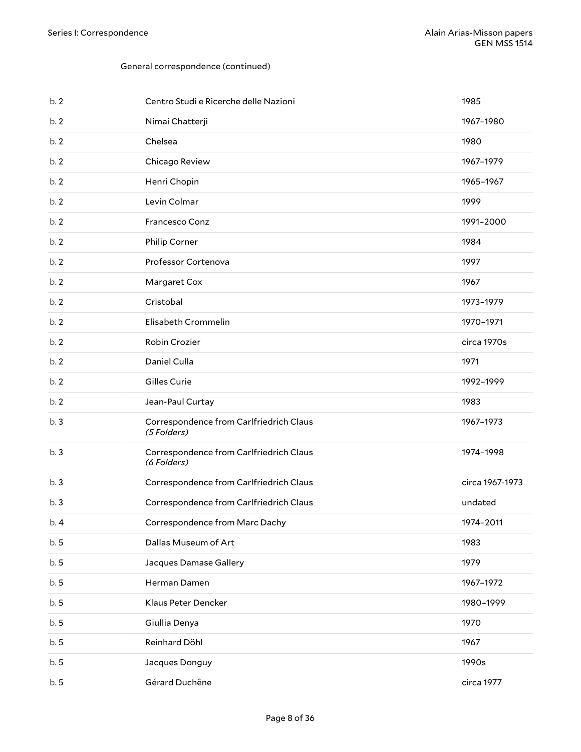| b.2 | Centro Studi e Ricerche delle Nazioni                  | 1985            |
|-----|--------------------------------------------------------|-----------------|
| b.2 | Nimai Chatterji                                        | 1967-1980       |
| b.2 | Chelsea                                                | 1980            |
| b.2 | Chicago Review                                         | 1967-1979       |
| b.2 | Henri Chopin                                           | 1965-1967       |
| b.2 | Levin Colmar                                           | 1999            |
| b.2 | Francesco Conz                                         | 1991-2000       |
| b.2 | Philip Corner                                          | 1984            |
| b.2 | Professor Cortenova                                    | 1997            |
| b.2 | Margaret Cox                                           | 1967            |
| b.2 | Cristobal                                              | 1973-1979       |
| b.2 | Elisabeth Crommelin                                    | 1970-1971       |
| b.2 | Robin Crozier                                          | circa 1970s     |
| b.2 | Daniel Culla                                           | 1971            |
| b.2 | Gilles Curie                                           | 1992-1999       |
|     |                                                        |                 |
| b.2 | Jean-Paul Curtay                                       | 1983            |
| b.3 | Correspondence from Carlfriedrich Claus<br>(5 Folders) | 1967-1973       |
| b.3 | Correspondence from Carlfriedrich Claus<br>(6 Folders) | 1974-1998       |
| b.3 | Correspondence from Carlfriedrich Claus                | circa 1967-1973 |
| b.3 | Correspondence from Carlfriedrich Claus                | undated         |
| b.4 | Correspondence from Marc Dachy                         | 1974-2011       |
| b.5 | Dallas Museum of Art                                   | 1983            |
| b.5 | Jacques Damase Gallery                                 | 1979            |
| b.5 | Herman Damen                                           | 1967-1972       |
| b.5 | Klaus Peter Dencker                                    | 1980-1999       |
| b.5 | Giullia Denya                                          | 1970            |
| b.5 | Reinhard Döhl                                          | 1967            |
| b.5 | Jacques Donguy                                         | 1990s           |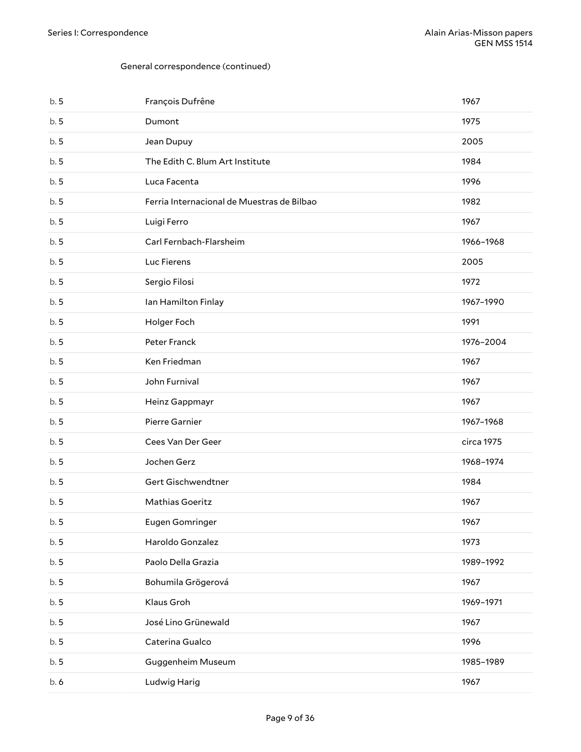| b.5 | François Dufrêne                           | 1967       |
|-----|--------------------------------------------|------------|
| b.5 | Dumont                                     | 1975       |
| b.5 | Jean Dupuy                                 | 2005       |
| b.5 | The Edith C. Blum Art Institute            | 1984       |
| b.5 | Luca Facenta                               | 1996       |
| b.5 | Ferria Internacional de Muestras de Bilbao | 1982       |
| b.5 | Luigi Ferro                                | 1967       |
| b.5 | Carl Fernbach-Flarsheim                    | 1966-1968  |
| b.5 | Luc Fierens                                | 2005       |
| b.5 | Sergio Filosi                              | 1972       |
| b.5 | Ian Hamilton Finlay                        | 1967-1990  |
| b.5 | Holger Foch                                | 1991       |
| b.5 | Peter Franck                               | 1976-2004  |
| b.5 | Ken Friedman                               | 1967       |
| b.5 | John Furnival                              | 1967       |
| b.5 | Heinz Gappmayr                             | 1967       |
| b.5 | Pierre Garnier                             | 1967-1968  |
| b.5 | Cees Van Der Geer                          | circa 1975 |
| b.5 | Jochen Gerz                                | 1968-1974  |
| b.5 | Gert Gischwendtner                         | 1984       |
| b.5 | Mathias Goeritz                            | 1967       |
| b.5 | Eugen Gomringer                            | 1967       |
| b.5 | Haroldo Gonzalez                           | 1973       |
| b.5 | Paolo Della Grazia                         | 1989-1992  |
| b.5 | Bohumila Grögerová                         | 1967       |
| b.5 | Klaus Groh                                 | 1969-1971  |
| b.5 | José Lino Grünewald                        | 1967       |
| b.5 | Caterina Gualco                            | 1996       |
| b.5 | Guggenheim Museum                          | 1985-1989  |
| b.6 | Ludwig Harig                               | 1967       |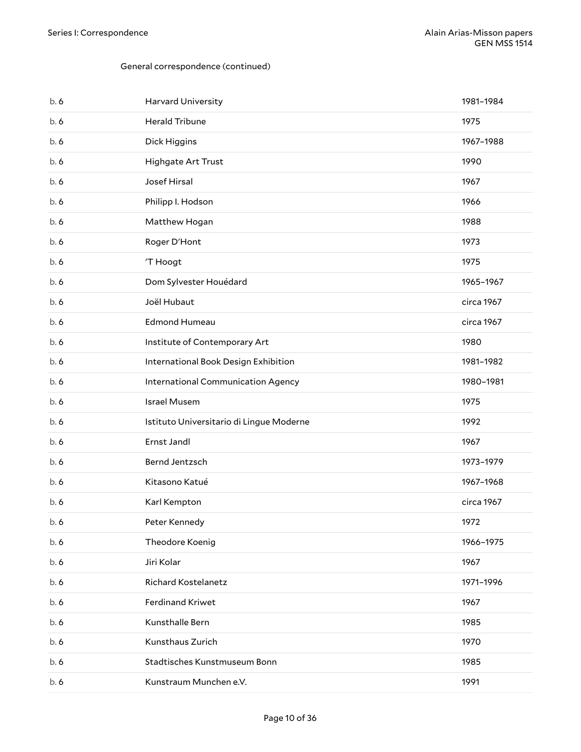| b.6 | Harvard University                       | 1981-1984  |
|-----|------------------------------------------|------------|
| b.6 | <b>Herald Tribune</b>                    | 1975       |
| b.6 | Dick Higgins                             | 1967-1988  |
| b.6 | Highgate Art Trust                       | 1990       |
| b.6 | Josef Hirsal                             | 1967       |
| b.6 | Philipp I. Hodson                        | 1966       |
| b.6 | Matthew Hogan                            | 1988       |
| b.6 | Roger D'Hont                             | 1973       |
| b.6 | 'T Hoogt                                 | 1975       |
| b.6 | Dom Sylvester Houédard                   | 1965-1967  |
| b.6 | Joël Hubaut                              | circa 1967 |
| b.6 | <b>Edmond Humeau</b>                     | circa 1967 |
| b.6 | Institute of Contemporary Art            | 1980       |
| b.6 | International Book Design Exhibition     | 1981-1982  |
| b.6 | International Communication Agency       | 1980-1981  |
|     |                                          |            |
| b.6 | Israel Musem                             | 1975       |
| b.6 | Istituto Universitario di Lingue Moderne | 1992       |
| b.6 | Ernst Jandl                              | 1967       |
| b.6 | Bernd Jentzsch                           | 1973-1979  |
| b.6 | Kitasono Katué                           | 1967-1968  |
| b.6 | Karl Kempton                             | circa 1967 |
| b.6 | Peter Kennedy                            | 1972       |
| b.6 | Theodore Koenig                          | 1966-1975  |
| b.6 | Jiri Kolar                               | 1967       |
| b.6 | <b>Richard Kostelanetz</b>               | 1971-1996  |
| b.6 | Ferdinand Kriwet                         | 1967       |
| b.6 | Kunsthalle Bern                          | 1985       |
| b.6 | Kunsthaus Zurich                         | 1970       |
| b.6 | Stadtisches Kunstmuseum Bonn             | 1985       |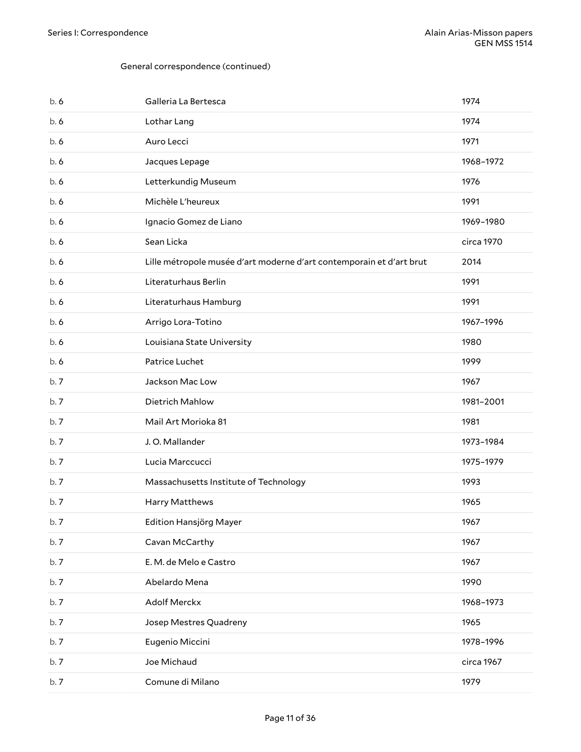| b.6 | Galleria La Bertesca                                                 | 1974       |
|-----|----------------------------------------------------------------------|------------|
| b.6 | Lothar Lang                                                          | 1974       |
| b.6 | Auro Lecci                                                           | 1971       |
| b.6 | Jacques Lepage                                                       | 1968-1972  |
| b.6 | Letterkundig Museum                                                  | 1976       |
| b.6 | Michèle L'heureux                                                    | 1991       |
| b.6 | Ignacio Gomez de Liano                                               | 1969-1980  |
| b.6 | Sean Licka                                                           | circa 1970 |
| b.6 | Lille métropole musée d'art moderne d'art contemporain et d'art brut | 2014       |
| b.6 | Literaturhaus Berlin                                                 | 1991       |
| b.6 | Literaturhaus Hamburg                                                | 1991       |
| b.6 | Arrigo Lora-Totino                                                   | 1967-1996  |
| b.6 | Louisiana State University                                           | 1980       |
| b.6 | Patrice Luchet                                                       | 1999       |
| b.7 | Jackson Mac Low                                                      | 1967       |
| b.7 | Dietrich Mahlow                                                      | 1981-2001  |
| b.7 | Mail Art Morioka 81                                                  | 1981       |
| b.7 | J.O. Mallander                                                       | 1973-1984  |
| b.7 | Lucia Marccucci                                                      | 1975-1979  |
| b.7 | Massachusetts Institute of Technology                                | 1993       |
| b.7 | Harry Matthews                                                       | 1965       |
| b.7 | Edition Hansjörg Mayer                                               | 1967       |
| b.7 | Cavan McCarthy                                                       | 1967       |
| b.7 | E. M. de Melo e Castro                                               | 1967       |
| b.7 | Abelardo Mena                                                        | 1990       |
| b.7 | Adolf Merckx                                                         | 1968-1973  |
| b.7 | Josep Mestres Quadreny                                               | 1965       |
| b.7 | Eugenio Miccini                                                      | 1978-1996  |
| b.7 | Joe Michaud                                                          | circa 1967 |
| b.7 | Comune di Milano                                                     | 1979       |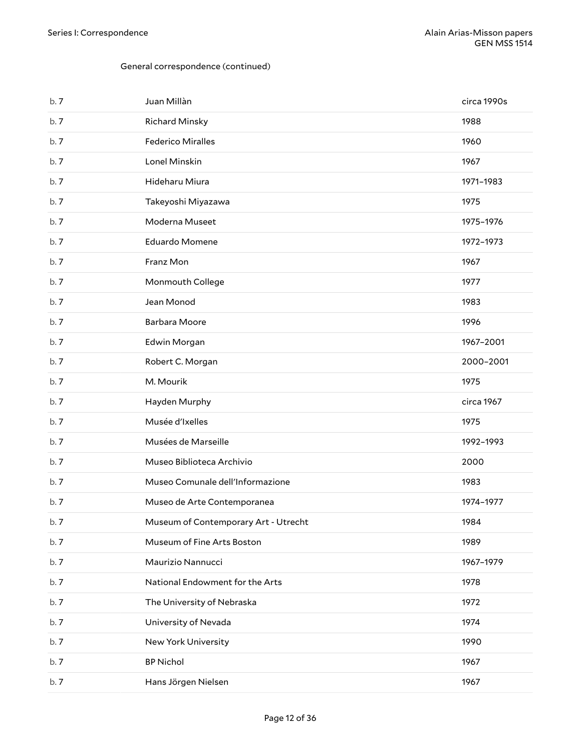| b.7 | Juan Millàn                          | circa 1990s |
|-----|--------------------------------------|-------------|
| b.7 | <b>Richard Minsky</b>                | 1988        |
| b.7 | <b>Federico Miralles</b>             | 1960        |
| b.7 | Lonel Minskin                        | 1967        |
| b.7 | Hideharu Miura                       | 1971-1983   |
| b.7 | Takeyoshi Miyazawa                   | 1975        |
| b.7 | Moderna Museet                       | 1975-1976   |
| b.7 | Eduardo Momene                       | 1972-1973   |
| b.7 | Franz Mon                            | 1967        |
| b.7 | Monmouth College                     | 1977        |
| b.7 | Jean Monod                           | 1983        |
| b.7 | <b>Barbara Moore</b>                 | 1996        |
| b.7 | Edwin Morgan                         | 1967-2001   |
| b.7 | Robert C. Morgan                     | 2000-2001   |
| b.7 | M. Mourik                            | 1975        |
| b.7 | Hayden Murphy                        | circa 1967  |
| b.7 | Musée d'Ixelles                      | 1975        |
| b.7 | Musées de Marseille                  | 1992-1993   |
| b.7 | Museo Biblioteca Archivio            | 2000        |
| b.7 | Museo Comunale dell'Informazione     | 1983        |
| b.7 | Museo de Arte Contemporanea          | 1974-1977   |
| b.7 | Museum of Contemporary Art - Utrecht | 1984        |
| b.7 | Museum of Fine Arts Boston           | 1989        |
| b.7 | Maurizio Nannucci                    | 1967-1979   |
| b.7 | National Endowment for the Arts      | 1978        |
| b.7 | The University of Nebraska           | 1972        |
| b.7 | University of Nevada                 | 1974        |
| b.7 | New York University                  | 1990        |
| b.7 | <b>BP Nichol</b>                     | 1967        |
| b.7 | Hans Jörgen Nielsen                  | 1967        |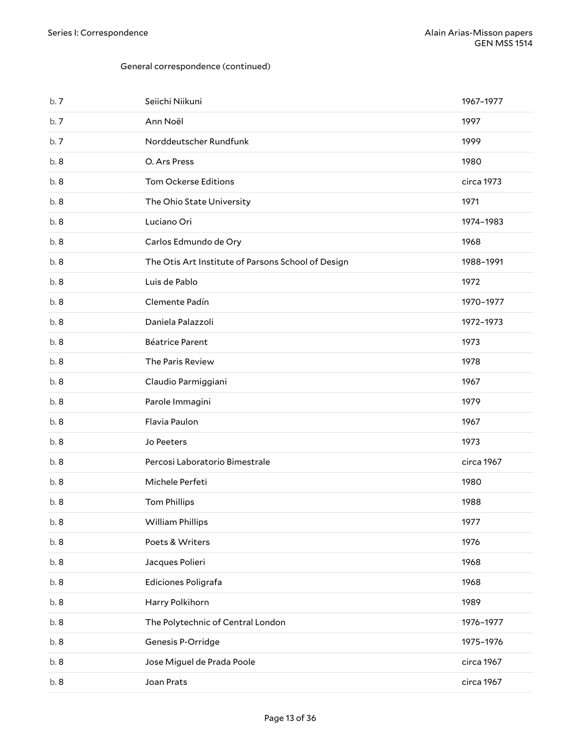| b.7 | Seiichi Niikuni                                    | 1967-1977  |
|-----|----------------------------------------------------|------------|
| b.7 | Ann Noël                                           | 1997       |
| b.7 | Norddeutscher Rundfunk                             | 1999       |
| b.8 | O. Ars Press                                       | 1980       |
| b.8 | <b>Tom Ockerse Editions</b>                        | circa 1973 |
| b.8 | The Ohio State University                          | 1971       |
| b.8 | Luciano Ori                                        | 1974-1983  |
| b.8 | Carlos Edmundo de Ory                              | 1968       |
| b.8 | The Otis Art Institute of Parsons School of Design | 1988-1991  |
| b.8 | Luis de Pablo                                      | 1972       |
| b.8 | Clemente Padín                                     | 1970-1977  |
| b.8 | Daniela Palazzoli                                  | 1972-1973  |
| b.8 | <b>Béatrice Parent</b>                             | 1973       |
| b.8 | The Paris Review                                   | 1978       |
| b.8 | Claudio Parmiggiani                                | 1967       |
| b.8 | Parole Immagini                                    | 1979       |
| b.8 | Flavia Paulon                                      | 1967       |
| b.8 | Jo Peeters                                         | 1973       |
| b.8 | Percosi Laboratorio Bimestrale                     | circa 1967 |
| b.8 | Michele Perfeti                                    | 1980       |
| b.8 | <b>Tom Phillips</b>                                | 1988       |
| b.8 | <b>William Phillips</b>                            | 1977       |
| b.8 | Poets & Writers                                    | 1976       |
| b.8 | Jacques Polieri                                    | 1968       |
| b.8 | Ediciones Poligrafa                                | 1968       |
| b.8 | Harry Polkihorn                                    | 1989       |
| b.8 | The Polytechnic of Central London                  | 1976-1977  |
| b.8 | Genesis P-Orridge                                  | 1975-1976  |
| b.8 | Jose Miguel de Prada Poole                         | circa 1967 |
| b.8 | Joan Prats                                         | circa 1967 |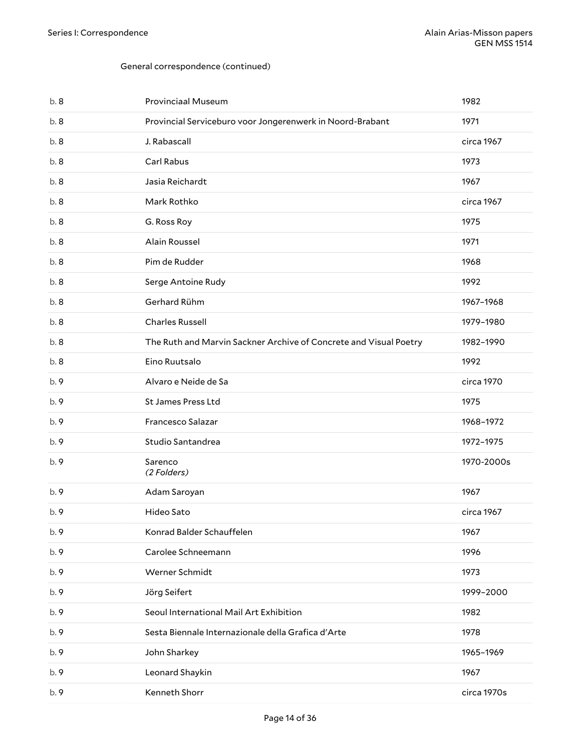| b.8  | <b>Provinciaal Museum</b>                                         | 1982        |
|------|-------------------------------------------------------------------|-------------|
| b.8  | Provincial Serviceburo voor Jongerenwerk in Noord-Brabant         | 1971        |
| b.8  | J. Rabascall                                                      | circa 1967  |
| b.8  | Carl Rabus                                                        | 1973        |
| b.8  | Jasia Reichardt                                                   | 1967        |
| b.8  | Mark Rothko                                                       | circa 1967  |
| b.8  | G. Ross Roy                                                       | 1975        |
| b.8  | Alain Roussel                                                     | 1971        |
| b.8  | Pim de Rudder                                                     | 1968        |
| b.8  | Serge Antoine Rudy                                                | 1992        |
| b.8  | Gerhard Rühm                                                      | 1967-1968   |
| b.8  | <b>Charles Russell</b>                                            | 1979-1980   |
| b.8  | The Ruth and Marvin Sackner Archive of Concrete and Visual Poetry | 1982-1990   |
| b.8  | Eino Ruutsalo                                                     | 1992        |
| b. 9 | Alvaro e Neide de Sa                                              | circa 1970  |
| b. 9 | St James Press Ltd                                                | 1975        |
| b. 9 | Francesco Salazar                                                 | 1968-1972   |
| b. 9 | Studio Santandrea                                                 | 1972-1975   |
| b. 9 | Sarenco<br>(2 Folders)                                            | 1970-2000s  |
| b.9  | Adam Saroyan                                                      | 1967        |
| b.9  | Hideo Sato                                                        | circa 1967  |
| b. 9 | Konrad Balder Schauffelen                                         | 1967        |
| b. 9 | Carolee Schneemann                                                | 1996        |
| b. 9 | Werner Schmidt                                                    | 1973        |
| b. 9 | Jörg Seifert                                                      | 1999-2000   |
| b. 9 | Seoul International Mail Art Exhibition                           | 1982        |
| b. 9 | Sesta Biennale Internazionale della Grafica d'Arte                | 1978        |
| b. 9 | John Sharkey                                                      | 1965-1969   |
| b. 9 | Leonard Shaykin                                                   | 1967        |
| b. 9 | Kenneth Shorr                                                     | circa 1970s |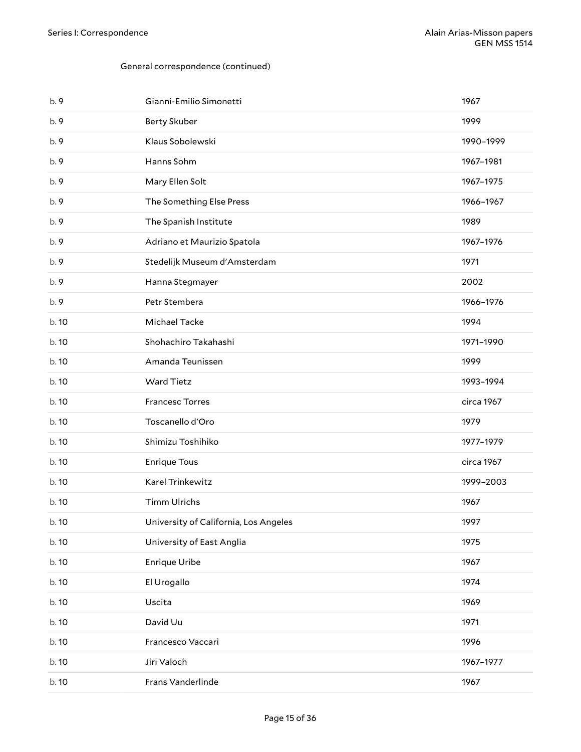| b. 9  | Gianni-Emilio Simonetti               | 1967       |
|-------|---------------------------------------|------------|
| b.9   | <b>Berty Skuber</b>                   | 1999       |
| b.9   | Klaus Sobolewski                      | 1990-1999  |
| b.9   | Hanns Sohm                            | 1967-1981  |
| b.9   | Mary Ellen Solt                       | 1967-1975  |
| b. 9  | The Something Else Press              | 1966-1967  |
| b.9   | The Spanish Institute                 | 1989       |
| b.9   | Adriano et Maurizio Spatola           | 1967-1976  |
| b.9   | Stedelijk Museum d'Amsterdam          | 1971       |
| b.9   | Hanna Stegmayer                       | 2002       |
| b.9   | Petr Stembera                         | 1966-1976  |
| b. 10 | Michael Tacke                         | 1994       |
| b. 10 | Shohachiro Takahashi                  | 1971-1990  |
| b. 10 | Amanda Teunissen                      | 1999       |
| b. 10 | <b>Ward Tietz</b>                     | 1993-1994  |
| b. 10 | <b>Francesc Torres</b>                | circa 1967 |
| b. 10 | Toscanello d'Oro                      | 1979       |
| b. 10 | Shimizu Toshihiko                     | 1977-1979  |
|       |                                       |            |
| b. 10 | <b>Enrique Tous</b>                   | circa 1967 |
| b. 10 | Karel Trinkewitz                      | 1999-2003  |
| b. 10 | <b>Timm Ulrichs</b>                   | 1967       |
| b. 10 | University of California, Los Angeles | 1997       |
| b.10  | University of East Anglia             | 1975       |
| b.10  | Enrique Uribe                         | 1967       |
| b. 10 | El Urogallo                           | 1974       |
| b. 10 | Uscita                                | 1969       |
| b. 10 | David Uu                              | 1971       |
| b. 10 | Francesco Vaccari                     | 1996       |
| b.10  | Jiri Valoch                           | 1967-1977  |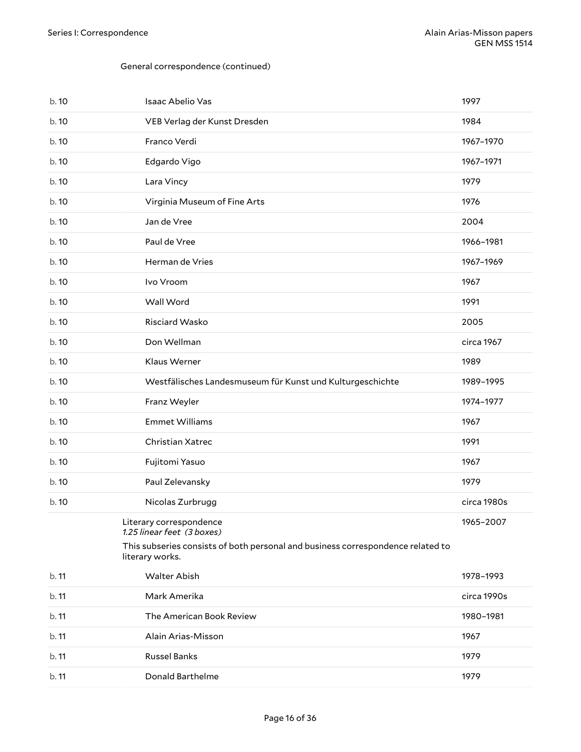<span id="page-15-0"></span>

| b. 10 | Isaac Abelio Vas                                                                                                                                            | 1997        |
|-------|-------------------------------------------------------------------------------------------------------------------------------------------------------------|-------------|
| b. 10 | VEB Verlag der Kunst Dresden                                                                                                                                | 1984        |
| b. 10 | Franco Verdi                                                                                                                                                | 1967-1970   |
| b. 10 | Edgardo Vigo                                                                                                                                                | 1967-1971   |
| b. 10 | Lara Vincy                                                                                                                                                  | 1979        |
| b. 10 | Virginia Museum of Fine Arts                                                                                                                                | 1976        |
| b. 10 | Jan de Vree                                                                                                                                                 | 2004        |
| b. 10 | Paul de Vree                                                                                                                                                | 1966-1981   |
| b.10  | Herman de Vries                                                                                                                                             | 1967-1969   |
| b. 10 | Ivo Vroom                                                                                                                                                   | 1967        |
| b. 10 | Wall Word                                                                                                                                                   | 1991        |
| b. 10 | Risciard Wasko                                                                                                                                              | 2005        |
| b.10  | Don Wellman                                                                                                                                                 | circa 1967  |
| b. 10 | Klaus Werner                                                                                                                                                | 1989        |
| b. 10 | Westfälisches Landesmuseum für Kunst und Kulturgeschichte                                                                                                   | 1989-1995   |
| b. 10 | Franz Weyler                                                                                                                                                | 1974-1977   |
| b.10  | <b>Emmet Williams</b>                                                                                                                                       | 1967        |
| b.10  | Christian Xatrec                                                                                                                                            | 1991        |
| b. 10 | Fujitomi Yasuo                                                                                                                                              | 1967        |
| b. 10 | Paul Zelevansky                                                                                                                                             | 1979        |
| b. 10 | Nicolas Zurbrugg                                                                                                                                            | circa 1980s |
|       | Literary correspondence<br>1.25 linear feet (3 boxes)<br>This subseries consists of both personal and business correspondence related to<br>literary works. | 1965-2007   |
| b. 11 | <b>Walter Abish</b>                                                                                                                                         | 1978-1993   |
| b. 11 | Mark Amerika                                                                                                                                                | circa 1990s |
| b.11  | The American Book Review                                                                                                                                    | 1980-1981   |
| b.11  | Alain Arias-Misson                                                                                                                                          | 1967        |
| b. 11 | <b>Russel Banks</b>                                                                                                                                         | 1979        |
| b.11  | Donald Barthelme                                                                                                                                            | 1979        |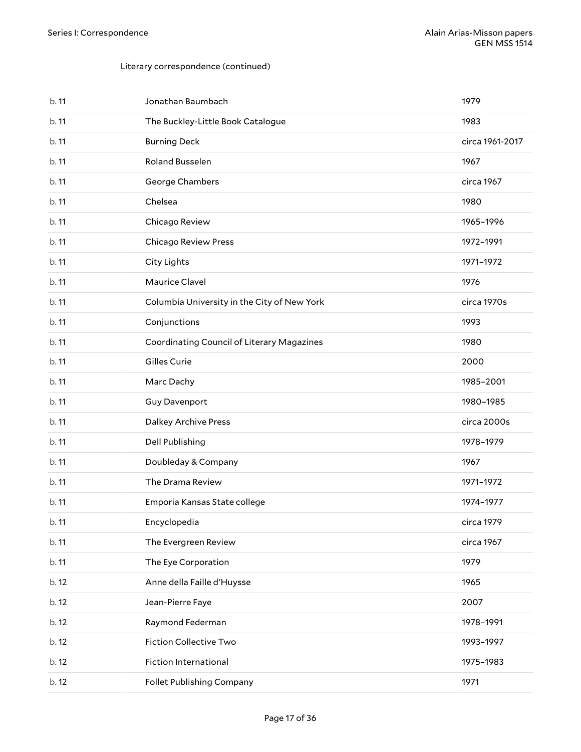| b.11  | Jonathan Baumbach                           | 1979            |
|-------|---------------------------------------------|-----------------|
| b.11  | The Buckley-Little Book Catalogue           | 1983            |
| b.11  | <b>Burning Deck</b>                         | circa 1961-2017 |
| b.11  | Roland Busselen                             | 1967            |
| b.11  | George Chambers                             | circa 1967      |
| b.11  | Chelsea                                     | 1980            |
| b.11  | Chicago Review                              | 1965-1996       |
| b.11  | Chicago Review Press                        | 1972-1991       |
| b.11  | City Lights                                 | 1971-1972       |
| b.11  | Maurice Clavel                              | 1976            |
| b.11  | Columbia University in the City of New York | circa 1970s     |
| b.11  | Conjunctions                                | 1993            |
| b.11  | Coordinating Council of Literary Magazines  | 1980            |
| b.11  | Gilles Curie                                | 2000            |
| b.11  | Marc Dachy                                  | 1985-2001       |
| b.11  | <b>Guy Davenport</b>                        | 1980-1985       |
| b.11  | Dalkey Archive Press                        | circa 2000s     |
| b.11  | Dell Publishing                             | 1978-1979       |
| b.11  | Doubleday & Company                         | 1967            |
| b.11  | The Drama Review                            | 1971-1972       |
| b.11  | Emporia Kansas State college                | 1974-1977       |
| b. 11 | Encyclopedia                                | circa 1979      |
| b.11  | The Evergreen Review                        | circa 1967      |
| b. 11 | The Eye Corporation                         | 1979            |
| b. 12 | Anne della Faille d'Huysse                  | 1965            |
| b. 12 | Jean-Pierre Faye                            | 2007            |
| b. 12 | Raymond Federman                            | 1978-1991       |
| b. 12 | Fiction Collective Two                      | 1993-1997       |
| b. 12 | Fiction International                       | 1975-1983       |
| b. 12 | Follet Publishing Company                   | 1971            |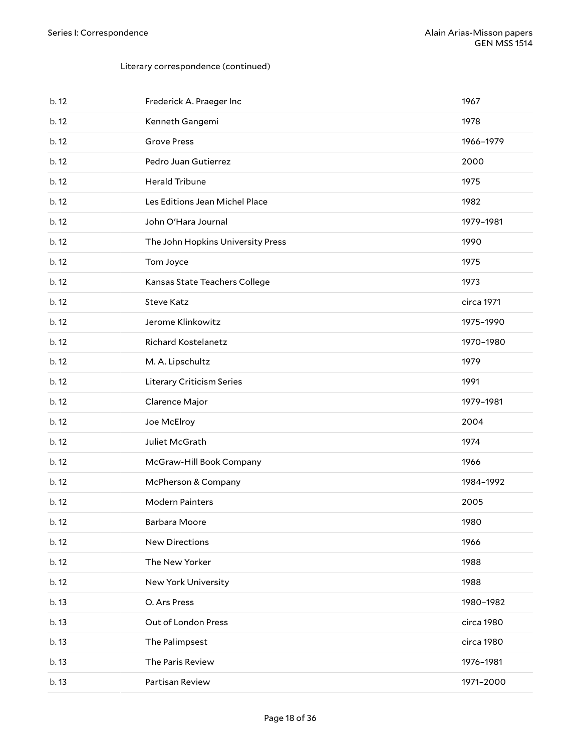| b. 12 | Frederick A. Praeger Inc          | 1967       |
|-------|-----------------------------------|------------|
| b. 12 | Kenneth Gangemi                   | 1978       |
| b.12  | <b>Grove Press</b>                | 1966-1979  |
| b.12  | Pedro Juan Gutierrez              | 2000       |
| b.12  | <b>Herald Tribune</b>             | 1975       |
| b.12  | Les Editions Jean Michel Place    | 1982       |
| b.12  | John O'Hara Journal               | 1979-1981  |
| b. 12 | The John Hopkins University Press | 1990       |
| b.12  | Tom Joyce                         | 1975       |
| b. 12 | Kansas State Teachers College     | 1973       |
| b. 12 | <b>Steve Katz</b>                 | circa 1971 |
| b. 12 | Jerome Klinkowitz                 | 1975-1990  |
| b. 12 | <b>Richard Kostelanetz</b>        | 1970-1980  |
| b. 12 | M. A. Lipschultz                  | 1979       |
| b. 12 | Literary Criticism Series         | 1991       |
| b. 12 | Clarence Major                    | 1979-1981  |
| b.12  | Joe McElroy                       | 2004       |
| b.12  | Juliet McGrath                    | 1974       |
| b.12  | McGraw-Hill Book Company          | 1966       |
| b. 12 | McPherson & Company               | 1984-1992  |
| b.12  | <b>Modern Painters</b>            | 2005       |
| b. 12 | Barbara Moore                     | 1980       |
| b. 12 | <b>New Directions</b>             | 1966       |
| b. 12 | The New Yorker                    | 1988       |
| b. 12 | New York University               | 1988       |
| b. 13 | O. Ars Press                      | 1980-1982  |
| b.13  | Out of London Press               | circa 1980 |
| b. 13 |                                   |            |
|       | The Palimpsest                    | circa 1980 |
| b.13  | The Paris Review                  | 1976-1981  |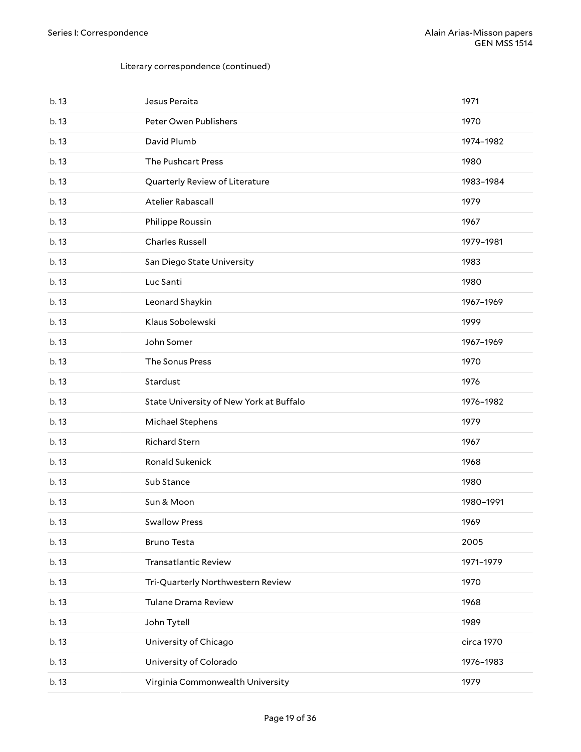| b. 13 | Jesus Peraita                           | 1971       |
|-------|-----------------------------------------|------------|
| b.13  | Peter Owen Publishers                   | 1970       |
| b.13  | David Plumb                             | 1974-1982  |
| b. 13 | The Pushcart Press                      | 1980       |
| b.13  | Quarterly Review of Literature          | 1983-1984  |
| b. 13 | Atelier Rabascall                       | 1979       |
| b.13  | Philippe Roussin                        | 1967       |
| b.13  | <b>Charles Russell</b>                  | 1979-1981  |
| b.13  | San Diego State University              | 1983       |
| b.13  | Luc Santi                               | 1980       |
| b.13  | Leonard Shaykin                         | 1967-1969  |
| b.13  | Klaus Sobolewski                        | 1999       |
| b.13  | John Somer                              | 1967-1969  |
| b.13  | The Sonus Press                         | 1970       |
| b.13  | Stardust                                | 1976       |
| b.13  | State University of New York at Buffalo | 1976-1982  |
| b.13  | Michael Stephens                        | 1979       |
| b. 13 | <b>Richard Stern</b>                    | 1967       |
| b. 13 | Ronald Sukenick                         | 1968       |
| b. 13 | Sub Stance                              | 1980       |
| b. 13 | Sun & Moon                              | 1980-1991  |
| b. 13 | <b>Swallow Press</b>                    | 1969       |
| b.13  | <b>Bruno Testa</b>                      | 2005       |
| b.13  | <b>Transatlantic Review</b>             | 1971-1979  |
| b. 13 | Tri-Quarterly Northwestern Review       | 1970       |
| b. 13 | Tulane Drama Review                     | 1968       |
| b.13  | John Tytell                             | 1989       |
| b.13  | University of Chicago                   | circa 1970 |
| b.13  | University of Colorado                  | 1976-1983  |
| b. 13 | Virginia Commonwealth University        | 1979       |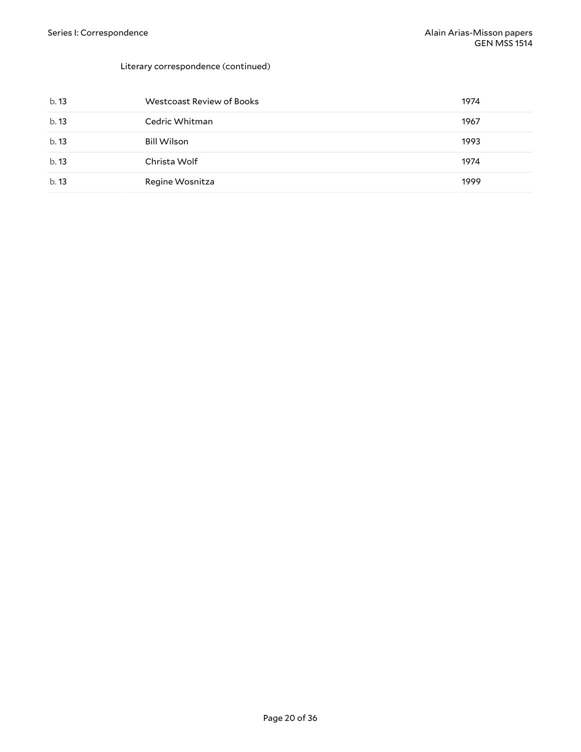| b.13 | Westcoast Review of Books | 1974 |
|------|---------------------------|------|
| b.13 | Cedric Whitman            | 1967 |
| b.13 | <b>Bill Wilson</b>        | 1993 |
| b.13 | Christa Wolf              | 1974 |
| b.13 | Regine Wosnitza           | 1999 |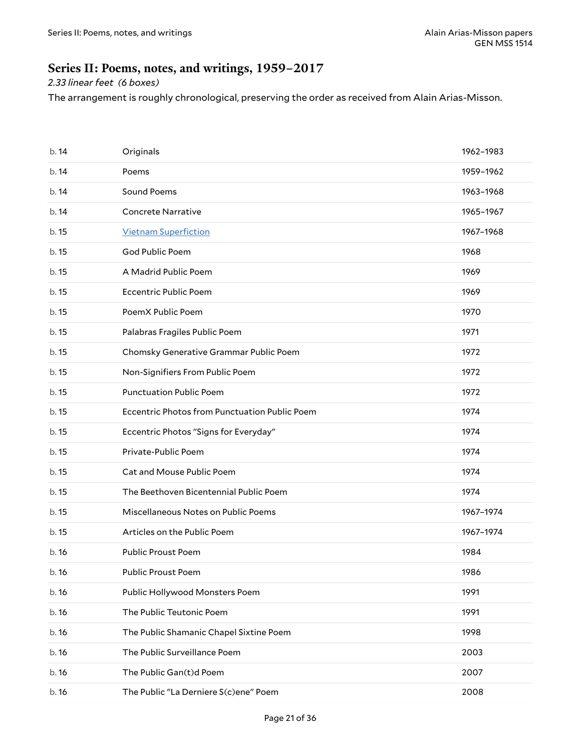### <span id="page-20-0"></span>**Series II: Poems, notes, and writings, 1959–2017**

### *2.33 linear feet (6 boxes)*

The arrangement is roughly chronological, preserving the order as received from Alain Arias-Misson.

| b.14  | Originals                                     | 1962-1983 |
|-------|-----------------------------------------------|-----------|
| b.14  | Poems                                         | 1959-1962 |
| b.14  | Sound Poems                                   | 1963-1968 |
| b. 14 | <b>Concrete Narrative</b>                     | 1965-1967 |
| b. 15 | <b>Vietnam Superfiction</b>                   | 1967-1968 |
| b.15  | God Public Poem                               | 1968      |
| b. 15 | A Madrid Public Poem                          | 1969      |
| b. 15 | <b>Eccentric Public Poem</b>                  | 1969      |
| b.15  | PoemX Public Poem                             | 1970      |
| b. 15 | Palabras Fragiles Public Poem                 | 1971      |
| b. 15 | Chomsky Generative Grammar Public Poem        | 1972      |
| b. 15 | Non-Signifiers From Public Poem               | 1972      |
| b. 15 | <b>Punctuation Public Poem</b>                | 1972      |
| b. 15 | Eccentric Photos from Punctuation Public Poem | 1974      |
| b. 15 | Eccentric Photos "Signs for Everyday"         | 1974      |
| b. 15 | Private-Public Poem                           | 1974      |
| b. 15 | Cat and Mouse Public Poem                     | 1974      |
| b. 15 | The Beethoven Bicentennial Public Poem        | 1974      |
| b. 15 | Miscellaneous Notes on Public Poems           | 1967-1974 |
| b. 15 | Articles on the Public Poem                   | 1967-1974 |
| b.16  | <b>Public Proust Poem</b>                     | 1984      |
| b. 16 | Public Proust Poem                            | 1986      |
| b.16  | Public Hollywood Monsters Poem                | 1991      |
| b.16  | The Public Teutonic Poem                      | 1991      |
| b.16  | The Public Shamanic Chapel Sixtine Poem       | 1998      |
| b.16  | The Public Surveillance Poem                  | 2003      |
| b.16  | The Public Gan(t)d Poem                       | 2007      |
| b.16  | The Public "La Derniere S(c)ene" Poem         | 2008      |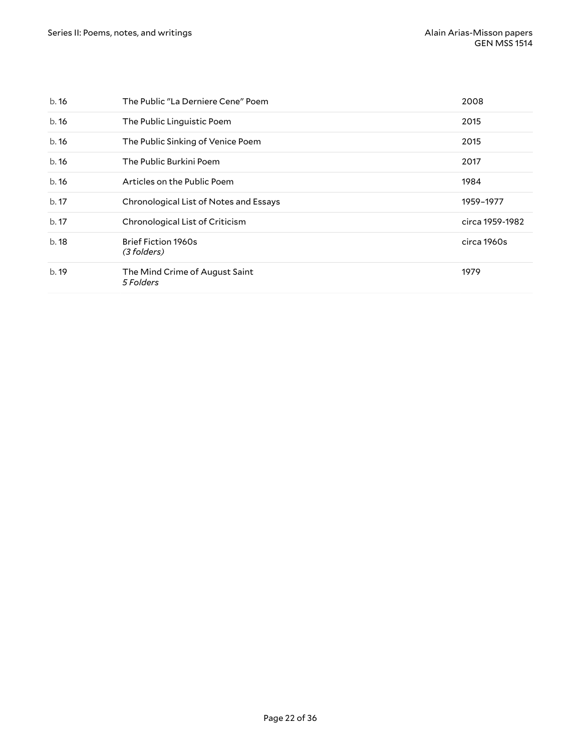| b.16 | The Public "La Derniere Cene" Poem          | 2008            |
|------|---------------------------------------------|-----------------|
| b.16 | The Public Linguistic Poem                  | 2015            |
| b.16 | The Public Sinking of Venice Poem           | 2015            |
| b.16 | The Public Burkini Poem                     | 2017            |
| b.16 | Articles on the Public Poem                 | 1984            |
| b.17 | Chronological List of Notes and Essays      | 1959-1977       |
| b.17 | Chronological List of Criticism             | circa 1959-1982 |
| b.18 | <b>Brief Fiction 1960s</b><br>(3 folders)   | circa 1960s     |
| b.19 | The Mind Crime of August Saint<br>5 Folders | 1979            |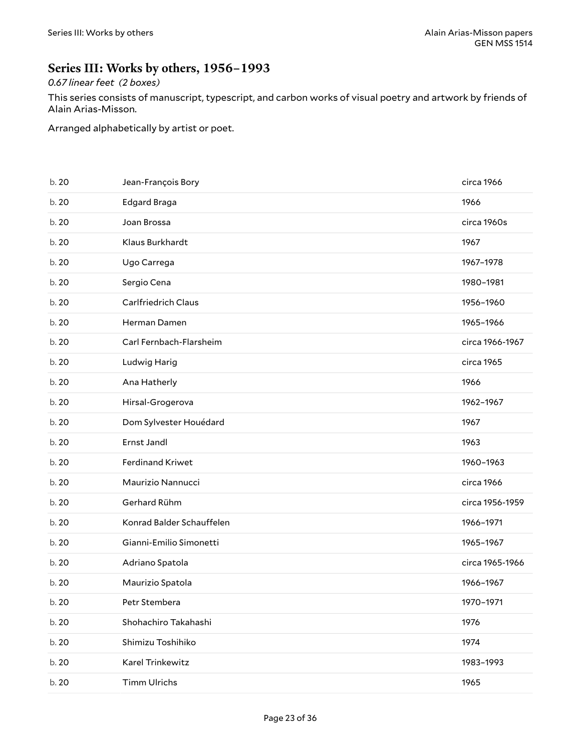### <span id="page-22-0"></span>**Series III: Works by others, 1956–1993**

### *0.67 linear feet (2 boxes)*

This series consists of manuscript, typescript, and carbon works of visual poetry and artwork by friends of Alain Arias-Misson.

Arranged alphabetically by artist or poet.

| b. 20 | Jean-François Bory         | circa 1966      |
|-------|----------------------------|-----------------|
| b. 20 | Edgard Braga               | 1966            |
| b. 20 | Joan Brossa                | circa 1960s     |
| b. 20 | Klaus Burkhardt            | 1967            |
| b. 20 | Ugo Carrega                | 1967-1978       |
| b. 20 | Sergio Cena                | 1980-1981       |
| b. 20 | <b>Carlfriedrich Claus</b> | 1956-1960       |
| b. 20 | Herman Damen               | 1965-1966       |
| b. 20 | Carl Fernbach-Flarsheim    | circa 1966-1967 |
| b. 20 | Ludwig Harig               | circa 1965      |
| b. 20 | Ana Hatherly               | 1966            |
| b. 20 | Hirsal-Grogerova           | 1962-1967       |
| b. 20 | Dom Sylvester Houédard     | 1967            |
| b. 20 | Ernst Jandl                | 1963            |
| b. 20 | <b>Ferdinand Kriwet</b>    | 1960-1963       |
| b. 20 | Maurizio Nannucci          | circa 1966      |
| b. 20 | Gerhard Rühm               | circa 1956-1959 |
| b. 20 | Konrad Balder Schauffelen  | 1966-1971       |
| b. 20 | Gianni-Emilio Simonetti    | 1965-1967       |
| b. 20 | Adriano Spatola            | circa 1965-1966 |
| b. 20 | Maurizio Spatola           | 1966-1967       |
| b. 20 | Petr Stembera              | 1970-1971       |
| b. 20 | Shohachiro Takahashi       | 1976            |
| b. 20 | Shimizu Toshihiko          | 1974            |
| b. 20 | Karel Trinkewitz           | 1983-1993       |
| b. 20 | <b>Timm Ulrichs</b>        | 1965            |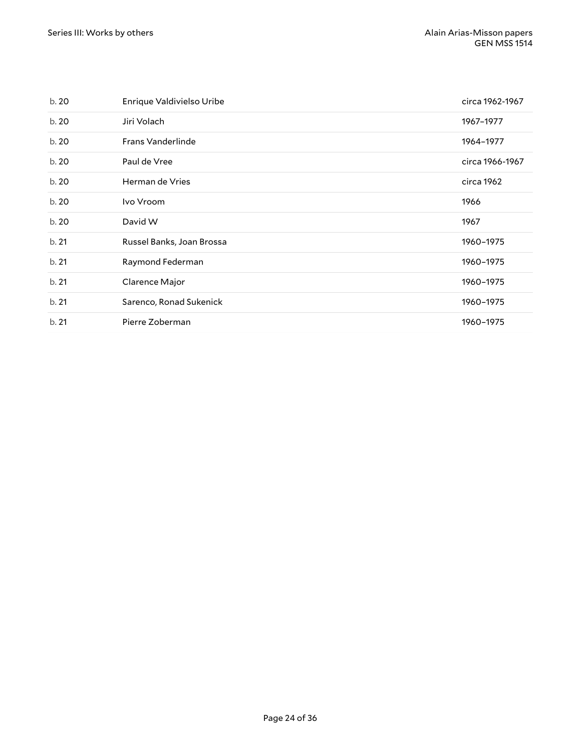| b.20  | Enrique Valdivielso Uribe | circa 1962-1967 |
|-------|---------------------------|-----------------|
| b. 20 | Jiri Volach               | 1967-1977       |
| b.20  | <b>Frans Vanderlinde</b>  | 1964-1977       |
| b.20  | Paul de Vree              | circa 1966-1967 |
| b.20  | Herman de Vries           | circa 1962      |
| b.20  | Ivo Vroom                 | 1966            |
| b. 20 | David W                   | 1967            |
| b.21  | Russel Banks, Joan Brossa | 1960-1975       |
| b.21  | Raymond Federman          | 1960-1975       |
| b.21  | Clarence Major            | 1960-1975       |
|       |                           |                 |
| b.21  | Sarenco, Ronad Sukenick   | 1960-1975       |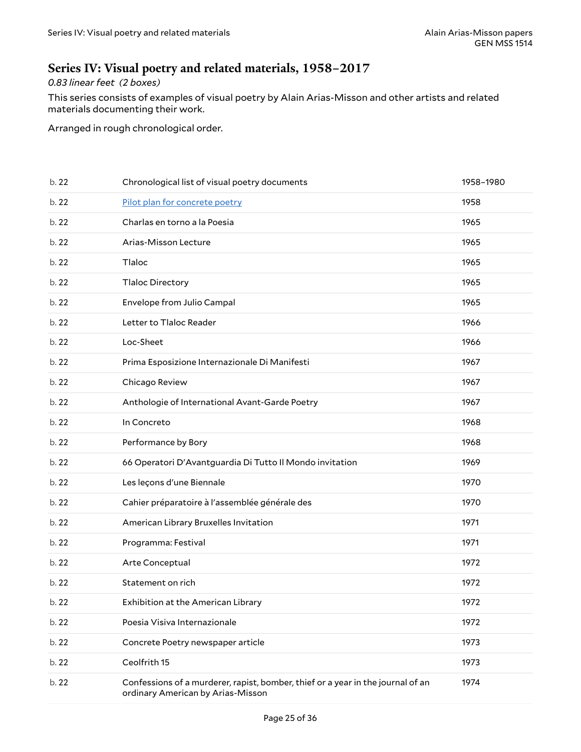### <span id="page-24-0"></span>**Series IV: Visual poetry and related materials, 1958–2017**

#### *0.83 linear feet (2 boxes)*

This series consists of examples of visual poetry by Alain Arias-Misson and other artists and related materials documenting their work.

Arranged in rough chronological order.

| b.22  | Chronological list of visual poetry documents                                                                        | 1958-1980 |
|-------|----------------------------------------------------------------------------------------------------------------------|-----------|
| b. 22 | Pilot plan for concrete poetry                                                                                       | 1958      |
| b. 22 | Charlas en torno a la Poesia                                                                                         | 1965      |
| b. 22 | Arias-Misson Lecture                                                                                                 | 1965      |
| b. 22 | Tlaloc                                                                                                               | 1965      |
| b. 22 | <b>Tlaloc Directory</b>                                                                                              | 1965      |
| b. 22 | Envelope from Julio Campal                                                                                           | 1965      |
| b. 22 | Letter to Tlaloc Reader                                                                                              | 1966      |
| b. 22 | Loc-Sheet                                                                                                            | 1966      |
| b. 22 | Prima Esposizione Internazionale Di Manifesti                                                                        | 1967      |
| b. 22 | Chicago Review                                                                                                       | 1967      |
| b. 22 | Anthologie of International Avant-Garde Poetry                                                                       | 1967      |
| b. 22 | In Concreto                                                                                                          | 1968      |
| b. 22 | Performance by Bory                                                                                                  | 1968      |
| b. 22 | 66 Operatori D'Avantguardia Di Tutto Il Mondo invitation                                                             | 1969      |
| b. 22 | Les leçons d'une Biennale                                                                                            | 1970      |
| b. 22 | Cahier préparatoire à l'assemblée générale des                                                                       | 1970      |
| b. 22 | American Library Bruxelles Invitation                                                                                | 1971      |
| b. 22 | Programma: Festival                                                                                                  | 1971      |
| b. 22 | Arte Conceptual                                                                                                      | 1972      |
| b. 22 | Statement on rich                                                                                                    | 1972      |
| b. 22 | Exhibition at the American Library                                                                                   | 1972      |
| b. 22 | Poesia Visiva Internazionale                                                                                         | 1972      |
| b. 22 | Concrete Poetry newspaper article                                                                                    | 1973      |
| b. 22 | Ceolfrith 15                                                                                                         | 1973      |
| b. 22 | Confessions of a murderer, rapist, bomber, thief or a year in the journal of an<br>ordinary American by Arias-Misson | 1974      |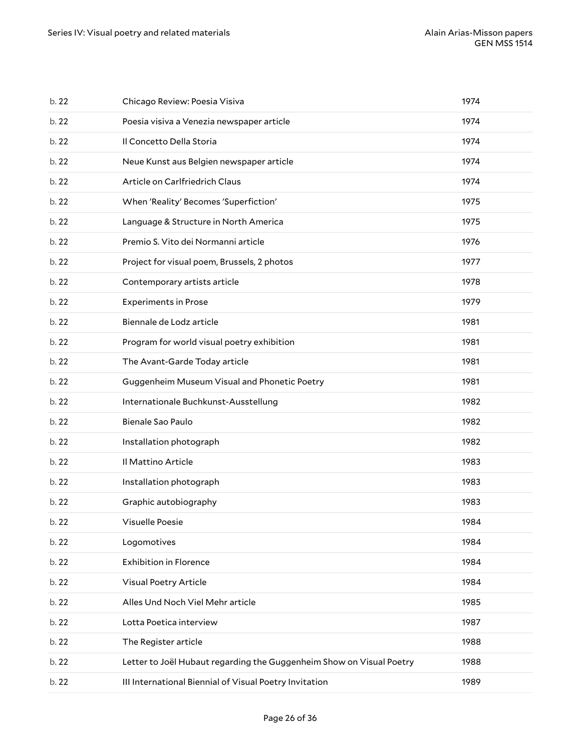| b. 22 | Chicago Review: Poesia Visiva                                        | 1974 |
|-------|----------------------------------------------------------------------|------|
| b. 22 | Poesia visiva a Venezia newspaper article                            | 1974 |
| b. 22 | Il Concetto Della Storia                                             | 1974 |
| b. 22 | Neue Kunst aus Belgien newspaper article                             | 1974 |
| b. 22 | Article on Carlfriedrich Claus                                       | 1974 |
| b. 22 | When 'Reality' Becomes 'Superfiction'                                | 1975 |
| b. 22 | Language & Structure in North America                                | 1975 |
| b. 22 | Premio S. Vito dei Normanni article                                  | 1976 |
| b. 22 | Project for visual poem, Brussels, 2 photos                          | 1977 |
| b. 22 | Contemporary artists article                                         | 1978 |
| b. 22 | <b>Experiments in Prose</b>                                          | 1979 |
| b. 22 | Biennale de Lodz article                                             | 1981 |
| b. 22 | Program for world visual poetry exhibition                           | 1981 |
| b.22  | The Avant-Garde Today article                                        | 1981 |
| b. 22 | Guggenheim Museum Visual and Phonetic Poetry                         | 1981 |
|       |                                                                      |      |
| b. 22 | Internationale Buchkunst-Ausstellung                                 | 1982 |
| b. 22 | Bienale Sao Paulo                                                    | 1982 |
| b. 22 | Installation photograph                                              | 1982 |
| b. 22 | Il Mattino Article                                                   | 1983 |
| b. 22 | Installation photograph                                              | 1983 |
| b. 22 | Graphic autobiography                                                | 1983 |
| b. 22 | Visuelle Poesie                                                      | 1984 |
| b. 22 | Logomotives                                                          | 1984 |
| b. 22 | <b>Exhibition in Florence</b>                                        | 1984 |
| b. 22 | Visual Poetry Article                                                | 1984 |
| b. 22 | Alles Und Noch Viel Mehr article                                     | 1985 |
| b. 22 | Lotta Poetica interview                                              | 1987 |
| b. 22 | The Register article                                                 | 1988 |
| b. 22 | Letter to Joël Hubaut regarding the Guggenheim Show on Visual Poetry | 1988 |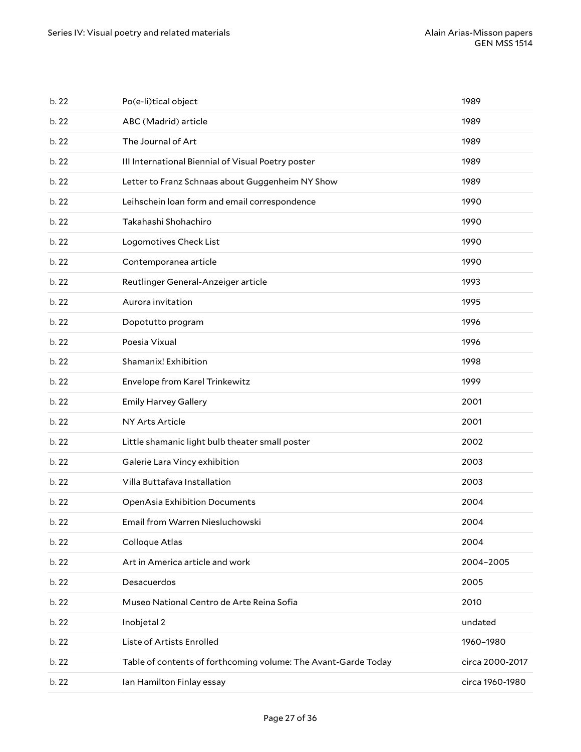| b. 22 | Ian Hamilton Finlay essay                                      | circa 1960-1980 |
|-------|----------------------------------------------------------------|-----------------|
| b. 22 | Table of contents of forthcoming volume: The Avant-Garde Today | circa 2000-2017 |
| b. 22 | Liste of Artists Enrolled                                      | 1960-1980       |
| b. 22 | Inobjetal 2                                                    | undated         |
| b. 22 | Museo National Centro de Arte Reina Sofia                      | 2010            |
| b. 22 | Desacuerdos                                                    | 2005            |
| b. 22 | Art in America article and work                                | 2004-2005       |
| b. 22 | Colloque Atlas                                                 | 2004            |
| b. 22 | Email from Warren Niesluchowski                                | 2004            |
| b.22  | <b>OpenAsia Exhibition Documents</b>                           | 2004            |
| b. 22 | Villa Buttafava Installation                                   | 2003            |
| b. 22 | Galerie Lara Vincy exhibition                                  | 2003            |
| b. 22 | Little shamanic light bulb theater small poster                | 2002            |
| b. 22 | NY Arts Article                                                | 2001            |
| b. 22 | <b>Emily Harvey Gallery</b>                                    | 2001            |
| b. 22 | Envelope from Karel Trinkewitz                                 | 1999            |
| b. 22 | Shamanix! Exhibition                                           | 1998            |
| b. 22 | Poesia Vixual                                                  | 1996            |
| b. 22 | Dopotutto program                                              | 1996            |
| b. 22 | Aurora invitation                                              | 1995            |
| b. 22 | Reutlinger General-Anzeiger article                            | 1993            |
| b. 22 | Contemporanea article                                          | 1990            |
| b. 22 | Logomotives Check List                                         | 1990            |
| b. 22 | Takahashi Shohachiro                                           | 1990            |
| b. 22 | Leihschein loan form and email correspondence                  | 1990            |
| b. 22 | Letter to Franz Schnaas about Guggenheim NY Show               | 1989            |
| b. 22 | III International Biennial of Visual Poetry poster             | 1989            |
| b. 22 | The Journal of Art                                             | 1989            |
| b. 22 | ABC (Madrid) article                                           | 1989            |
| b. 22 | Po(e-li)tical object                                           | 1989            |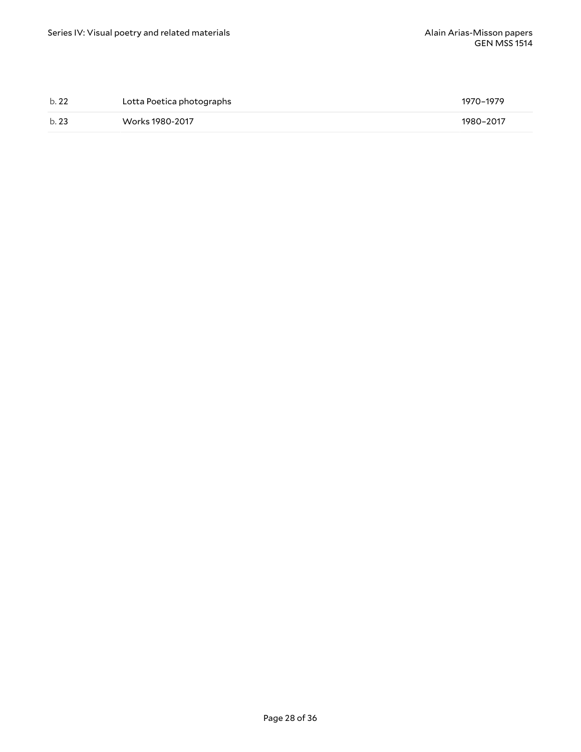| b.22 | Lotta Poetica photographs | 1970–1979 |
|------|---------------------------|-----------|
| b.23 | Works 1980-2017           | 1980-2017 |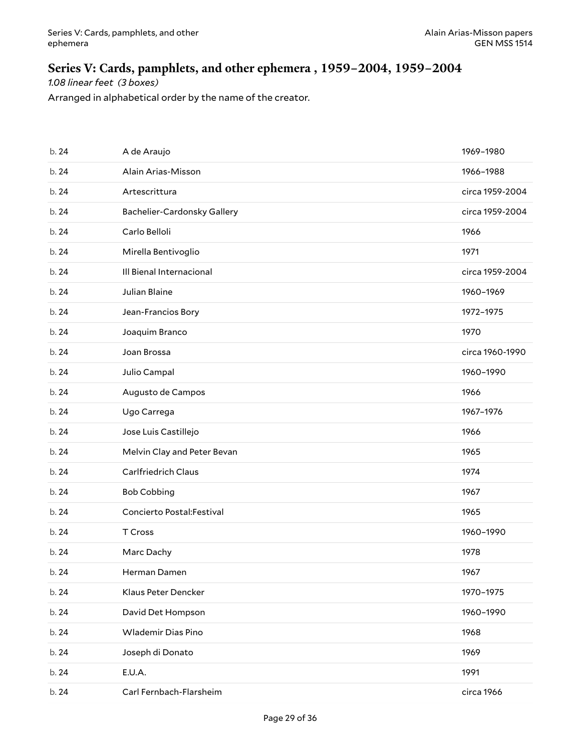# <span id="page-28-0"></span>**Series V: Cards, pamphlets, and other ephemera , 1959–2004, 1959–2004**

*1.08 linear feet (3 boxes)*

Arranged in alphabetical order by the name of the creator.

| b. 24 | A de Araujo                 | 1969-1980       |
|-------|-----------------------------|-----------------|
| b. 24 | Alain Arias-Misson          | 1966-1988       |
| b. 24 | Artescrittura               | circa 1959-2004 |
| b. 24 | Bachelier-Cardonsky Gallery | circa 1959-2004 |
| b. 24 | Carlo Belloli               | 1966            |
| b. 24 | Mirella Bentivoglio         | 1971            |
| b. 24 | Ill Bienal Internacional    | circa 1959-2004 |
| b. 24 | Julian Blaine               | 1960-1969       |
| b. 24 | Jean-Francios Bory          | 1972-1975       |
| b. 24 | Joaquim Branco              | 1970            |
| b. 24 | Joan Brossa                 | circa 1960-1990 |
| b. 24 | Julio Campal                | 1960-1990       |
| b. 24 | Augusto de Campos           | 1966            |
| b. 24 | Ugo Carrega                 | 1967-1976       |
| b. 24 | Jose Luis Castillejo        | 1966            |
| b. 24 | Melvin Clay and Peter Bevan | 1965            |
| b. 24 | <b>Carlfriedrich Claus</b>  | 1974            |
| b. 24 | <b>Bob Cobbing</b>          | 1967            |
| b. 24 | Concierto Postal: Festival  | 1965            |
| b. 24 | T Cross                     | 1960-1990       |
| b. 24 | Marc Dachy                  | 1978            |
| b. 24 | Herman Damen                | 1967            |
| b. 24 | Klaus Peter Dencker         | 1970-1975       |
| b. 24 | David Det Hompson           | 1960-1990       |
| b. 24 | <b>Wlademir Dias Pino</b>   | 1968            |
| b. 24 | Joseph di Donato            | 1969            |
| b. 24 | E.U.A.                      | 1991            |
|       |                             |                 |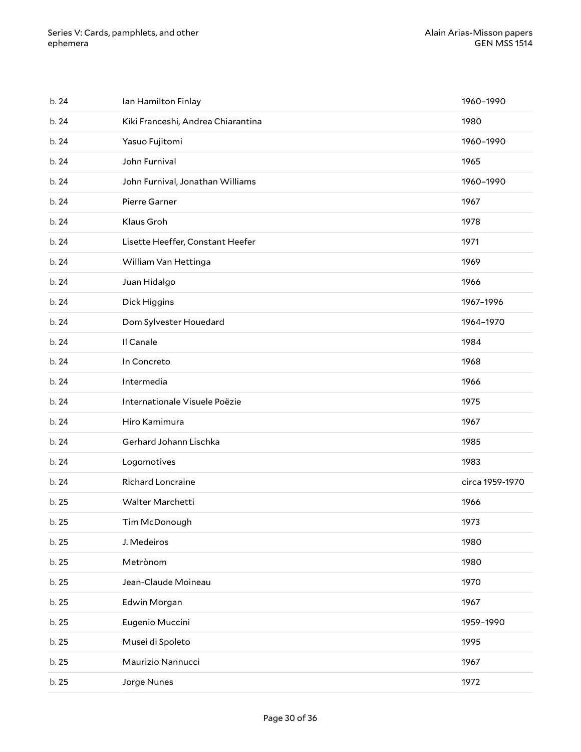| b. 24 | Ian Hamilton Finlay                | 1960-1990       |
|-------|------------------------------------|-----------------|
| b. 24 | Kiki Franceshi, Andrea Chiarantina | 1980            |
| b. 24 | Yasuo Fujitomi                     | 1960-1990       |
| b. 24 | John Furnival                      | 1965            |
| b. 24 | John Furnival, Jonathan Williams   | 1960-1990       |
| b. 24 | Pierre Garner                      | 1967            |
| b. 24 | Klaus Groh                         | 1978            |
| b. 24 | Lisette Heeffer, Constant Heefer   | 1971            |
| b. 24 | William Van Hettinga               | 1969            |
| b. 24 | Juan Hidalgo                       | 1966            |
| b. 24 | Dick Higgins                       | 1967-1996       |
| b. 24 | Dom Sylvester Houedard             | 1964-1970       |
| b. 24 | Il Canale                          | 1984            |
| b. 24 | In Concreto                        | 1968            |
| b. 24 | Intermedia                         | 1966            |
| b. 24 | Internationale Visuele Poëzie      | 1975            |
| b. 24 | Hiro Kamimura                      | 1967            |
| b. 24 | Gerhard Johann Lischka             | 1985            |
| b. 24 | Logomotives                        | 1983            |
| b. 24 | Richard Loncraine                  | circa 1959-1970 |
| b. 25 | Walter Marchetti                   | 1966            |
| b.25  | Tim McDonough                      | 1973            |
| b. 25 | J. Medeiros                        | 1980            |
| b. 25 | Metrònom                           | 1980            |
| b. 25 | Jean-Claude Moineau                | 1970            |
| b. 25 | Edwin Morgan                       | 1967            |
| b. 25 | Eugenio Muccini                    | 1959-1990       |
| b. 25 | Musei di Spoleto                   | 1995            |
| b. 25 | Maurizio Nannucci                  | 1967            |
| b. 25 | Jorge Nunes                        | 1972            |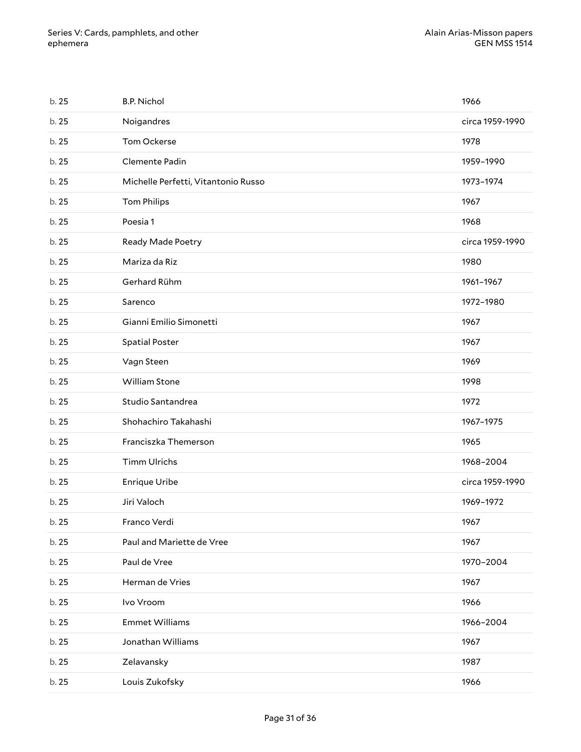| b. 25 | <b>B.P. Nichol</b>                  | 1966            |
|-------|-------------------------------------|-----------------|
| b. 25 | Noigandres                          | circa 1959-1990 |
| b. 25 | Tom Ockerse                         | 1978            |
| b. 25 | Clemente Padin                      | 1959-1990       |
| b. 25 | Michelle Perfetti, Vitantonio Russo | 1973-1974       |
| b. 25 | <b>Tom Philips</b>                  | 1967            |
| b. 25 | Poesia 1                            | 1968            |
| b. 25 | Ready Made Poetry                   | circa 1959-1990 |
| b. 25 | Mariza da Riz                       | 1980            |
| b. 25 | Gerhard Rühm                        | 1961-1967       |
| b. 25 | Sarenco                             | 1972-1980       |
| b. 25 | Gianni Emilio Simonetti             | 1967            |
| b. 25 | <b>Spatial Poster</b>               | 1967            |
| b. 25 | Vagn Steen                          | 1969            |
| b. 25 | William Stone                       | 1998            |
| b. 25 | Studio Santandrea                   | 1972            |
| b. 25 | Shohachiro Takahashi                | 1967-1975       |
| b. 25 | Franciszka Themerson                | 1965            |
| b. 25 | <b>Timm Ulrichs</b>                 | 1968-2004       |
| b. 25 | <b>Enrique Uribe</b>                | circa 1959-1990 |
| b. 25 | Jiri Valoch                         | 1969-1972       |
| b.25  | Franco Verdi                        | 1967            |
| b. 25 | Paul and Mariette de Vree           | 1967            |
| b. 25 | Paul de Vree                        | 1970-2004       |
| b. 25 | Herman de Vries                     | 1967            |
| b. 25 | Ivo Vroom                           | 1966            |
| b. 25 | <b>Emmet Williams</b>               | 1966-2004       |
| b. 25 | Jonathan Williams                   | 1967            |
| b. 25 | Zelavansky                          | 1987            |
| b. 25 | Louis Zukofsky                      | 1966            |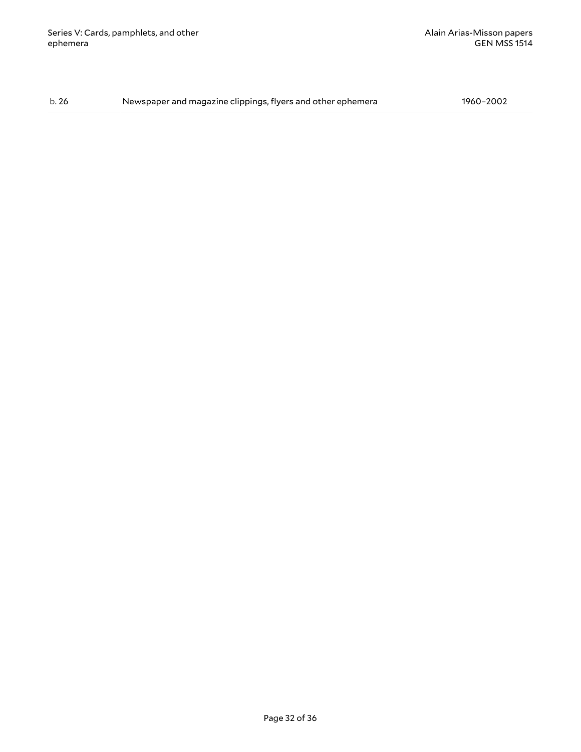b. 26 Newspaper and magazine clippings, flyers and other ephemera 1960–2002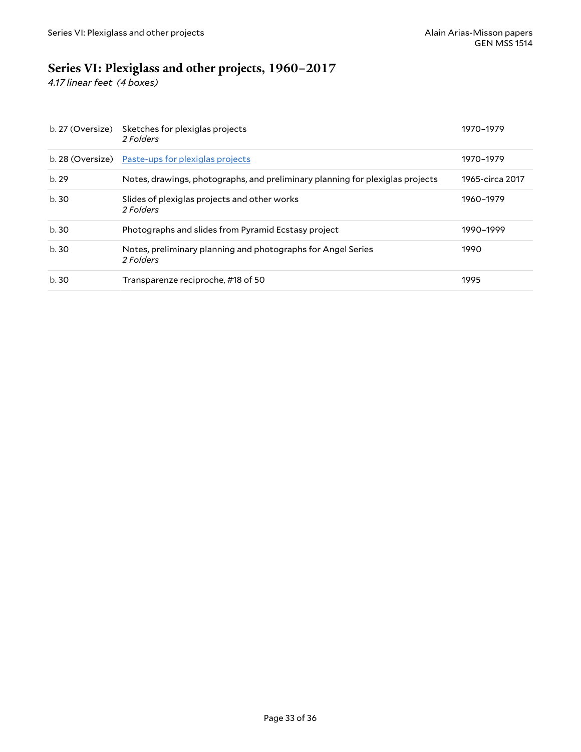# <span id="page-32-0"></span>**Series VI: Plexiglass and other projects, 1960–2017**

*4.17 linear feet (4 boxes)*

| b. 27 (Oversize) | Sketches for plexiglas projects<br>2 Folders                                  | 1970–1979       |
|------------------|-------------------------------------------------------------------------------|-----------------|
|                  | b. 28 (Oversize) Paste-ups for plexiglas projects                             | 1970-1979       |
| b.29             | Notes, drawings, photographs, and preliminary planning for plexiglas projects | 1965-circa 2017 |
| b.30             | Slides of plexiglas projects and other works<br>2 Folders                     | 1960-1979       |
| b.30             | Photographs and slides from Pyramid Ecstasy project                           | 1990-1999       |
| b.30             | Notes, preliminary planning and photographs for Angel Series<br>2 Folders     | 1990            |
| b.30             | Transparenze reciproche, #18 of 50                                            | 1995            |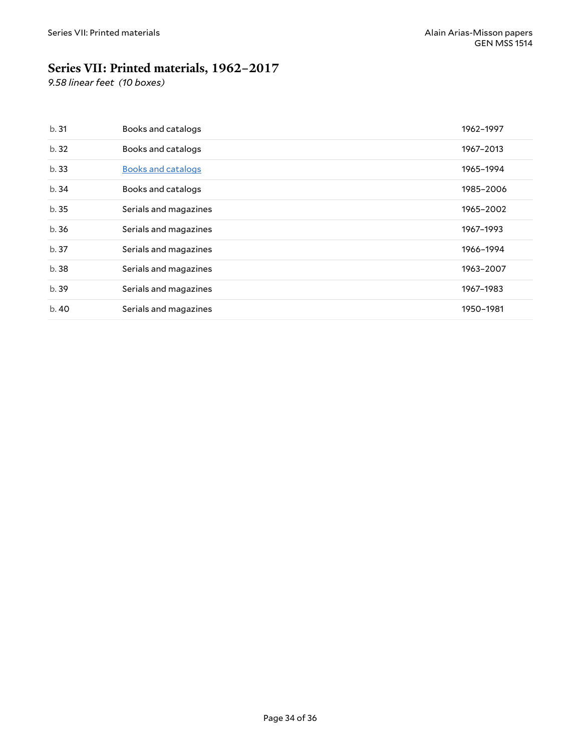# <span id="page-33-0"></span>**Series VII: Printed materials, 1962–2017**

*9.58 linear feet (10 boxes)*

| b.31  | Books and catalogs        | 1962-1997 |
|-------|---------------------------|-----------|
| b. 32 | Books and catalogs        | 1967-2013 |
| b.33  | <b>Books and catalogs</b> | 1965-1994 |
| b.34  | Books and catalogs        | 1985-2006 |
| b.35  | Serials and magazines     | 1965-2002 |
| b.36  | Serials and magazines     | 1967-1993 |
| b.37  | Serials and magazines     | 1966-1994 |
| b.38  | Serials and magazines     | 1963-2007 |
| b.39  | Serials and magazines     | 1967–1983 |
| b.40  | Serials and magazines     | 1950-1981 |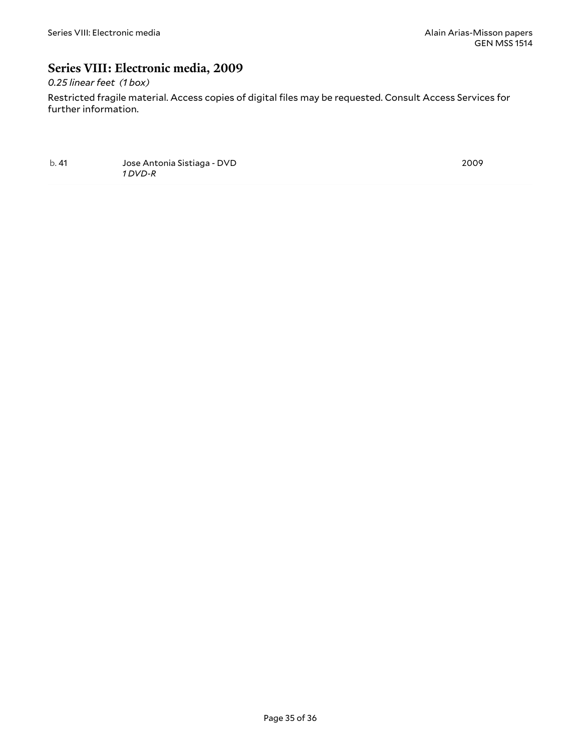### <span id="page-34-0"></span>**Series VIII: Electronic media, 2009**

### *0.25 linear feet (1 box)*

Restricted fragile material. Access copies of digital files may be requested. Consult Access Services for further information.

b. 41 Jose Antonia Sistiaga - DVD *1 DVD-R*

2009